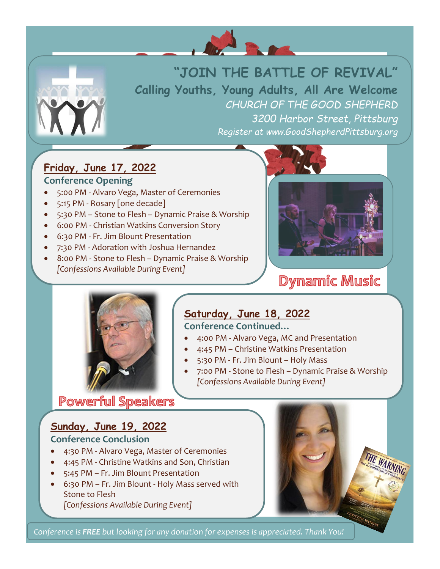



# **"JOIN THE BATTLE OF REVIVAL"**

**Calling Youths, Young Adults, All Are Welcome** *CHURCH OF THE GOOD SHEPHERD 3200 Harbor Street, Pittsburg Register at www.GoodShepherdPittsburg.org*

## **Friday, June 17, 2022**

#### **Conference Opening**

- 5:00 PM Alvaro Vega, Master of Ceremonies
- 5:15 PM Rosary [one decade]
- 5:30 PM Stone to Flesh Dynamic Praise & Worship
- 6:00 PM Christian Watkins Conversion Story
- 6:30 PM Fr. Jim Blount Presentation
- 7:30 PM Adoration with Joshua Hernandez
- 8:00 PM Stone to Flesh Dynamic Praise & Worship *[Confessions Available During Event]*



## **Dynamic Music**



## **Saturday, June 18, 2022**

#### **Conference Continued…**

- 4:00 PM Alvaro Vega, MC and Presentation
- 4:45 PM Christine Watkins Presentation
- 5:30 PM Fr. Jim Blount Holy Mass
- 7:00 PM Stone to Flesh Dynamic Praise & Worship *[Confessions Available During Event]*

## **Powerful Speakers**

## **Sunday, June 19, 2022**

#### **Conference Conclusion**

- 4:30 PM Alvaro Vega, Master of Ceremonies
- 4:45 PM Christine Watkins and Son, Christian
- 5:45 PM Fr. Jim Blount Presentation
- 6:30 PM Fr. Jim Blount Holy Mass served with Stone to Flesh *[Confessions Available During Event]*



*Conference is FREE but looking for any donation for expenses is appreciated. Thank You!*